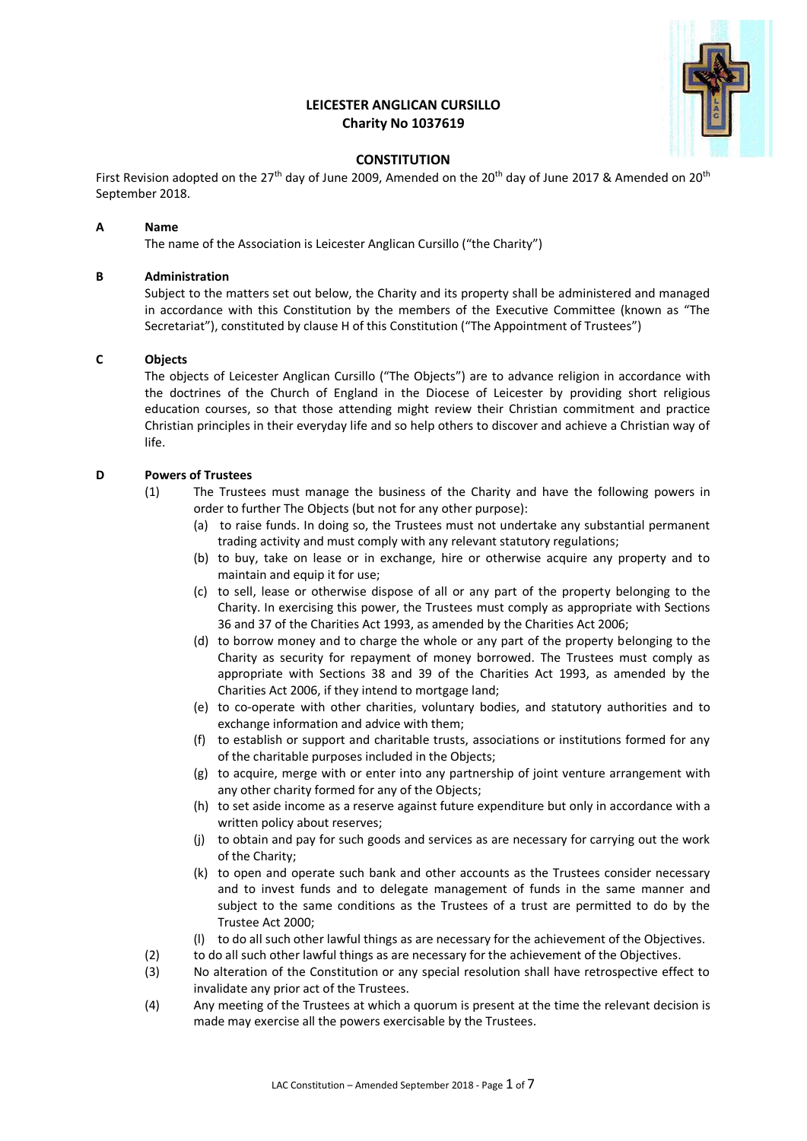# **LEICESTER ANGLICAN CURSILLO Charity No 1037619**



## **CONSTITUTION**

First Revision adopted on the 27<sup>th</sup> day of June 2009, Amended on the 20<sup>th</sup> day of June 2017 & Amended on 20<sup>th</sup> September 2018.

### **A Name**

The name of the Association is Leicester Anglican Cursillo ("the Charity")

## **B Administration**

Subject to the matters set out below, the Charity and its property shall be administered and managed in accordance with this Constitution by the members of the Executive Committee (known as "The Secretariat"), constituted by clause H of this Constitution ("The Appointment of Trustees")

## **C Objects**

The objects of Leicester Anglican Cursillo ("The Objects") are to advance religion in accordance with the doctrines of the Church of England in the Diocese of Leicester by providing short religious education courses, so that those attending might review their Christian commitment and practice Christian principles in their everyday life and so help others to discover and achieve a Christian way of life.

## **D Powers of Trustees**

- (1) The Trustees must manage the business of the Charity and have the following powers in order to further The Objects (but not for any other purpose):
	- (a) to raise funds. In doing so, the Trustees must not undertake any substantial permanent trading activity and must comply with any relevant statutory regulations;
	- (b) to buy, take on lease or in exchange, hire or otherwise acquire any property and to maintain and equip it for use;
	- (c) to sell, lease or otherwise dispose of all or any part of the property belonging to the Charity. In exercising this power, the Trustees must comply as appropriate with Sections 36 and 37 of the Charities Act 1993, as amended by the Charities Act 2006;
	- (d) to borrow money and to charge the whole or any part of the property belonging to the Charity as security for repayment of money borrowed. The Trustees must comply as appropriate with Sections 38 and 39 of the Charities Act 1993, as amended by the Charities Act 2006, if they intend to mortgage land;
	- (e) to co-operate with other charities, voluntary bodies, and statutory authorities and to exchange information and advice with them;
	- (f) to establish or support and charitable trusts, associations or institutions formed for any of the charitable purposes included in the Objects;
	- (g) to acquire, merge with or enter into any partnership of joint venture arrangement with any other charity formed for any of the Objects;
	- (h) to set aside income as a reserve against future expenditure but only in accordance with a written policy about reserves;
	- (j) to obtain and pay for such goods and services as are necessary for carrying out the work of the Charity;
	- (k) to open and operate such bank and other accounts as the Trustees consider necessary and to invest funds and to delegate management of funds in the same manner and subject to the same conditions as the Trustees of a trust are permitted to do by the Trustee Act 2000;
	- (l) to do all such other lawful things as are necessary for the achievement of the Objectives.
- (2) to do all such other lawful things as are necessary for the achievement of the Objectives.
- (3) No alteration of the Constitution or any special resolution shall have retrospective effect to invalidate any prior act of the Trustees.
- (4) Any meeting of the Trustees at which a quorum is present at the time the relevant decision is made may exercise all the powers exercisable by the Trustees.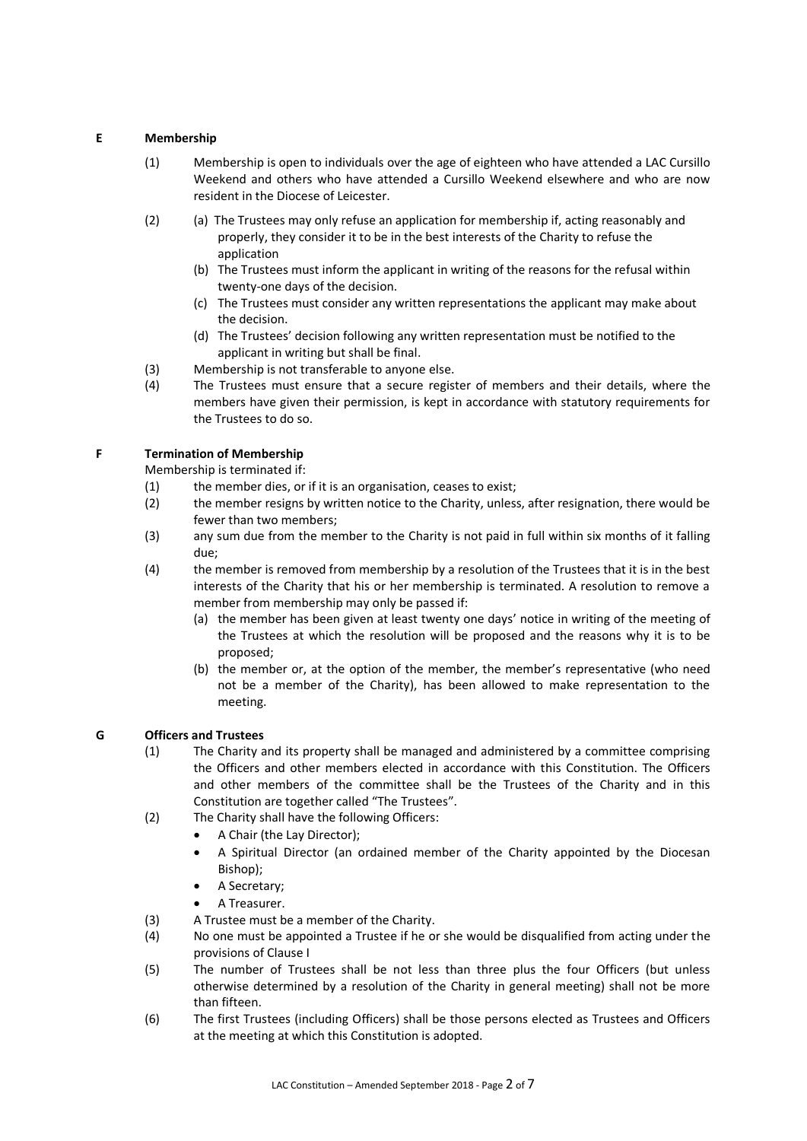## **E Membership**

- (1) Membership is open to individuals over the age of eighteen who have attended a LAC Cursillo Weekend and others who have attended a Cursillo Weekend elsewhere and who are now resident in the Diocese of Leicester.
- (2) (a) The Trustees may only refuse an application for membership if, acting reasonably and properly, they consider it to be in the best interests of the Charity to refuse the application
	- (b) The Trustees must inform the applicant in writing of the reasons for the refusal within twenty-one days of the decision.
	- (c) The Trustees must consider any written representations the applicant may make about the decision.
	- (d) The Trustees' decision following any written representation must be notified to the applicant in writing but shall be final.
- (3) Membership is not transferable to anyone else.
- (4) The Trustees must ensure that a secure register of members and their details, where the members have given their permission, is kept in accordance with statutory requirements for the Trustees to do so.

## **F Termination of Membership**

Membership is terminated if:

- (1) the member dies, or if it is an organisation, ceases to exist;
- (2) the member resigns by written notice to the Charity, unless, after resignation, there would be fewer than two members;
- (3) any sum due from the member to the Charity is not paid in full within six months of it falling due;
- (4) the member is removed from membership by a resolution of the Trustees that it is in the best interests of the Charity that his or her membership is terminated. A resolution to remove a member from membership may only be passed if:
	- (a) the member has been given at least twenty one days' notice in writing of the meeting of the Trustees at which the resolution will be proposed and the reasons why it is to be proposed;
	- (b) the member or, at the option of the member, the member's representative (who need not be a member of the Charity), has been allowed to make representation to the meeting.

### **G Officers and Trustees**

- (1) The Charity and its property shall be managed and administered by a committee comprising the Officers and other members elected in accordance with this Constitution. The Officers and other members of the committee shall be the Trustees of the Charity and in this Constitution are together called "The Trustees".
- (2) The Charity shall have the following Officers:
	- A Chair (the Lay Director);
	- A Spiritual Director (an ordained member of the Charity appointed by the Diocesan Bishop);
	- A Secretary;
	- A Treasurer.
- (3) A Trustee must be a member of the Charity.
- (4) No one must be appointed a Trustee if he or she would be disqualified from acting under the provisions of Clause I
- (5) The number of Trustees shall be not less than three plus the four Officers (but unless otherwise determined by a resolution of the Charity in general meeting) shall not be more than fifteen.
- (6) The first Trustees (including Officers) shall be those persons elected as Trustees and Officers at the meeting at which this Constitution is adopted.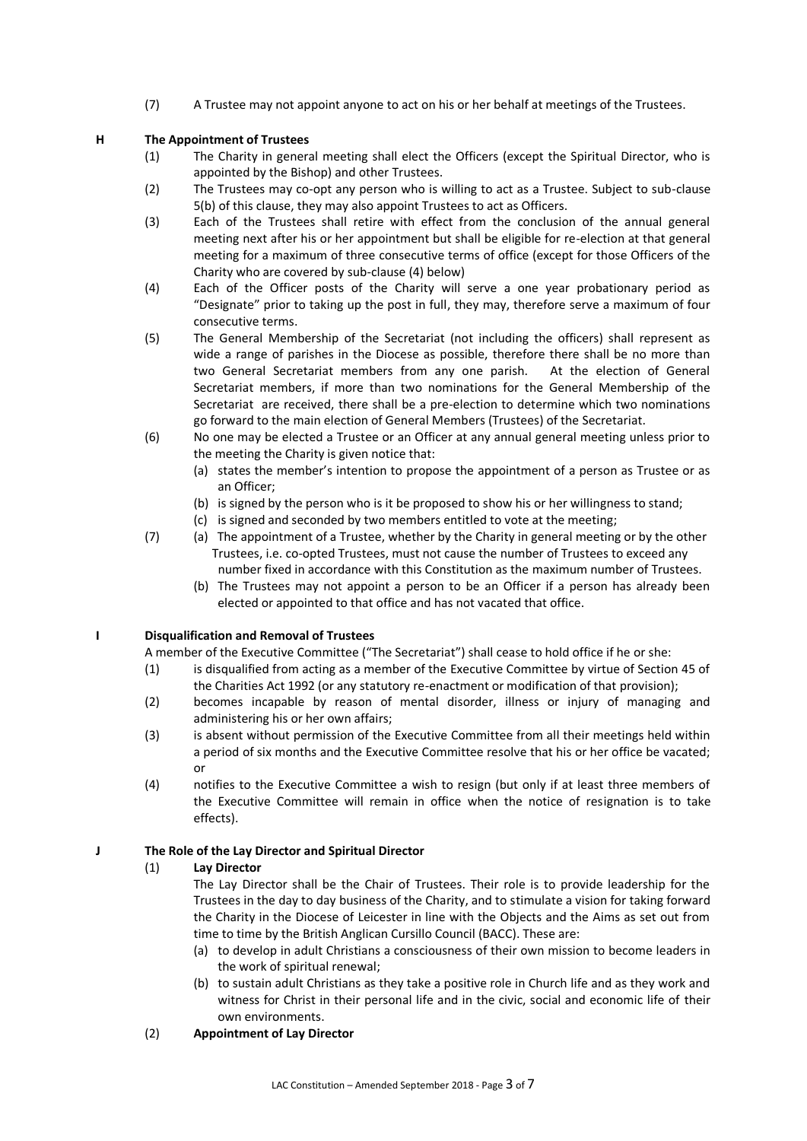(7) A Trustee may not appoint anyone to act on his or her behalf at meetings of the Trustees.

## **H The Appointment of Trustees**

- (1) The Charity in general meeting shall elect the Officers (except the Spiritual Director, who is appointed by the Bishop) and other Trustees.
- (2) The Trustees may co-opt any person who is willing to act as a Trustee. Subject to sub-clause 5(b) of this clause, they may also appoint Trustees to act as Officers.
- (3) Each of the Trustees shall retire with effect from the conclusion of the annual general meeting next after his or her appointment but shall be eligible for re-election at that general meeting for a maximum of three consecutive terms of office (except for those Officers of the Charity who are covered by sub-clause (4) below)
- (4) Each of the Officer posts of the Charity will serve a one year probationary period as "Designate" prior to taking up the post in full, they may, therefore serve a maximum of four consecutive terms.
- (5) The General Membership of the Secretariat (not including the officers) shall represent as wide a range of parishes in the Diocese as possible, therefore there shall be no more than two General Secretariat members from any one parish. At the election of General Secretariat members, if more than two nominations for the General Membership of the Secretariat are received, there shall be a pre-election to determine which two nominations go forward to the main election of General Members (Trustees) of the Secretariat.
- (6) No one may be elected a Trustee or an Officer at any annual general meeting unless prior to the meeting the Charity is given notice that:
	- (a) states the member's intention to propose the appointment of a person as Trustee or as an Officer;
	- (b) is signed by the person who is it be proposed to show his or her willingness to stand;
	- (c) is signed and seconded by two members entitled to vote at the meeting;
- (7) (a) The appointment of a Trustee, whether by the Charity in general meeting or by the other Trustees, i.e. co-opted Trustees, must not cause the number of Trustees to exceed any number fixed in accordance with this Constitution as the maximum number of Trustees.
	- (b) The Trustees may not appoint a person to be an Officer if a person has already been elected or appointed to that office and has not vacated that office.

## **I Disqualification and Removal of Trustees**

A member of the Executive Committee ("The Secretariat") shall cease to hold office if he or she:

- (1) is disqualified from acting as a member of the Executive Committee by virtue of Section 45 of the Charities Act 1992 (or any statutory re-enactment or modification of that provision);
- (2) becomes incapable by reason of mental disorder, illness or injury of managing and administering his or her own affairs;
- (3) is absent without permission of the Executive Committee from all their meetings held within a period of six months and the Executive Committee resolve that his or her office be vacated; or
- (4) notifies to the Executive Committee a wish to resign (but only if at least three members of the Executive Committee will remain in office when the notice of resignation is to take effects).

## **J The Role of the Lay Director and Spiritual Director**

## (1) **Lay Director**

The Lay Director shall be the Chair of Trustees. Their role is to provide leadership for the Trustees in the day to day business of the Charity, and to stimulate a vision for taking forward the Charity in the Diocese of Leicester in line with the Objects and the Aims as set out from time to time by the British Anglican Cursillo Council (BACC). These are:

- (a) to develop in adult Christians a consciousness of their own mission to become leaders in the work of spiritual renewal;
- (b) to sustain adult Christians as they take a positive role in Church life and as they work and witness for Christ in their personal life and in the civic, social and economic life of their own environments.

## (2) **Appointment of Lay Director**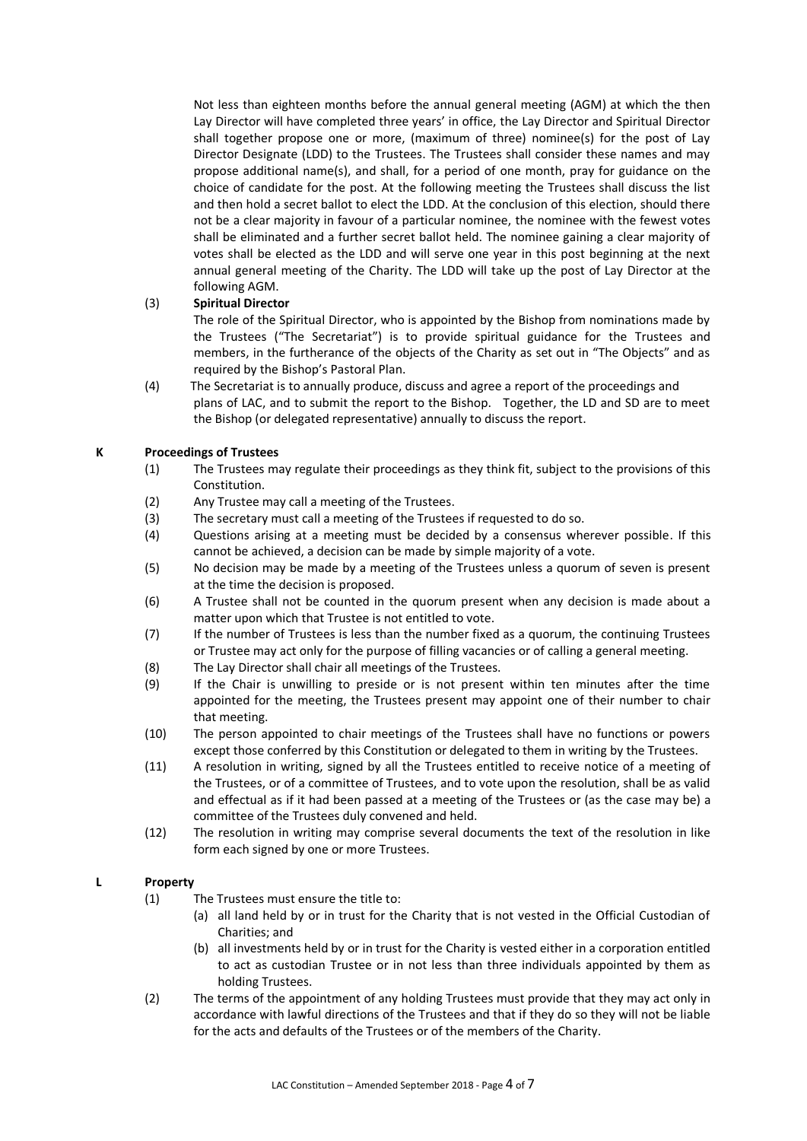Not less than eighteen months before the annual general meeting (AGM) at which the then Lay Director will have completed three years' in office, the Lay Director and Spiritual Director shall together propose one or more, (maximum of three) nominee(s) for the post of Lay Director Designate (LDD) to the Trustees. The Trustees shall consider these names and may propose additional name(s), and shall, for a period of one month, pray for guidance on the choice of candidate for the post. At the following meeting the Trustees shall discuss the list and then hold a secret ballot to elect the LDD. At the conclusion of this election, should there not be a clear majority in favour of a particular nominee, the nominee with the fewest votes shall be eliminated and a further secret ballot held. The nominee gaining a clear majority of votes shall be elected as the LDD and will serve one year in this post beginning at the next annual general meeting of the Charity. The LDD will take up the post of Lay Director at the following AGM.

## (3) **Spiritual Director**

The role of the Spiritual Director, who is appointed by the Bishop from nominations made by the Trustees ("The Secretariat") is to provide spiritual guidance for the Trustees and members, in the furtherance of the objects of the Charity as set out in "The Objects" and as required by the Bishop's Pastoral Plan.

(4) The Secretariat is to annually produce, discuss and agree a report of the proceedings and plans of LAC, and to submit the report to the Bishop. Together, the LD and SD are to meet the Bishop (or delegated representative) annually to discuss the report.

## **K Proceedings of Trustees**

- (1) The Trustees may regulate their proceedings as they think fit, subject to the provisions of this Constitution.
- (2) Any Trustee may call a meeting of the Trustees.
- (3) The secretary must call a meeting of the Trustees if requested to do so.
- (4) Questions arising at a meeting must be decided by a consensus wherever possible. If this cannot be achieved, a decision can be made by simple majority of a vote.
- (5) No decision may be made by a meeting of the Trustees unless a quorum of seven is present at the time the decision is proposed.
- (6) A Trustee shall not be counted in the quorum present when any decision is made about a matter upon which that Trustee is not entitled to vote.
- (7) If the number of Trustees is less than the number fixed as a quorum, the continuing Trustees or Trustee may act only for the purpose of filling vacancies or of calling a general meeting.
- (8) The Lay Director shall chair all meetings of the Trustees.
- (9) If the Chair is unwilling to preside or is not present within ten minutes after the time appointed for the meeting, the Trustees present may appoint one of their number to chair that meeting.
- (10) The person appointed to chair meetings of the Trustees shall have no functions or powers except those conferred by this Constitution or delegated to them in writing by the Trustees.
- (11) A resolution in writing, signed by all the Trustees entitled to receive notice of a meeting of the Trustees, or of a committee of Trustees, and to vote upon the resolution, shall be as valid and effectual as if it had been passed at a meeting of the Trustees or (as the case may be) a committee of the Trustees duly convened and held.
- (12) The resolution in writing may comprise several documents the text of the resolution in like form each signed by one or more Trustees.

### **L Property**

- (1) The Trustees must ensure the title to:
	- (a) all land held by or in trust for the Charity that is not vested in the Official Custodian of Charities; and
	- (b) all investments held by or in trust for the Charity is vested either in a corporation entitled to act as custodian Trustee or in not less than three individuals appointed by them as holding Trustees.
- (2) The terms of the appointment of any holding Trustees must provide that they may act only in accordance with lawful directions of the Trustees and that if they do so they will not be liable for the acts and defaults of the Trustees or of the members of the Charity.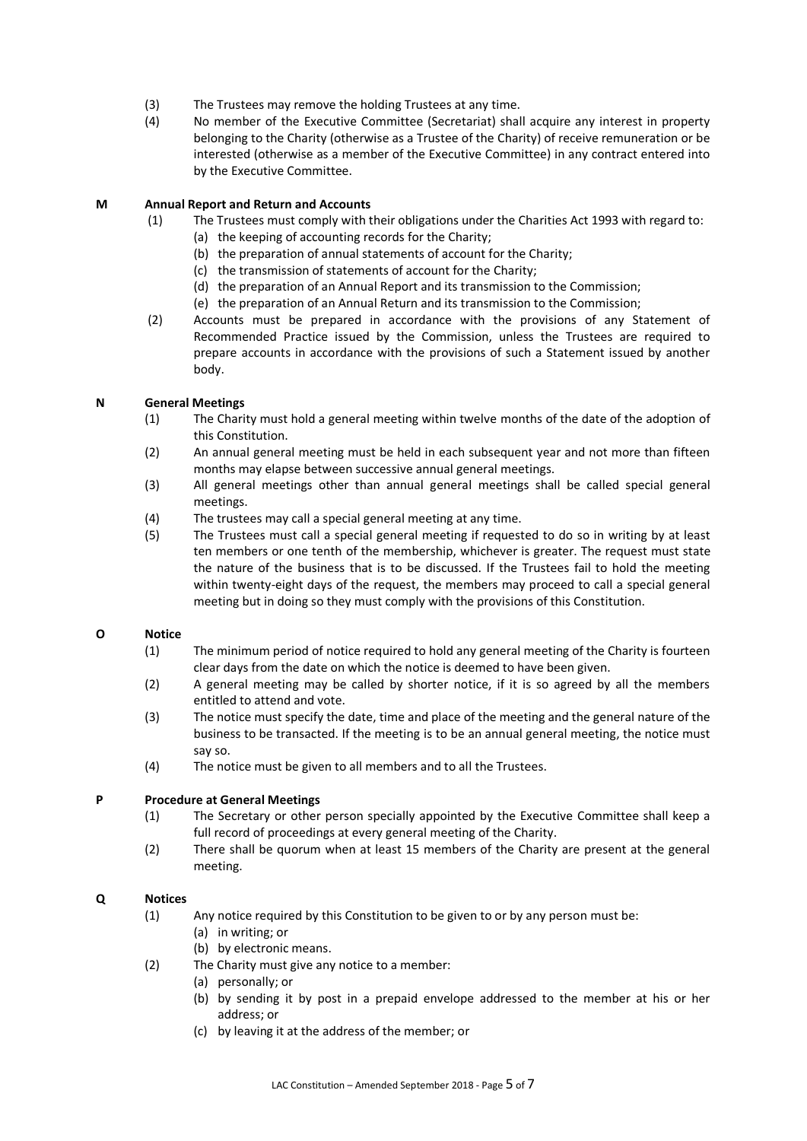- (3) The Trustees may remove the holding Trustees at any time.
- (4) No member of the Executive Committee (Secretariat) shall acquire any interest in property belonging to the Charity (otherwise as a Trustee of the Charity) of receive remuneration or be interested (otherwise as a member of the Executive Committee) in any contract entered into by the Executive Committee.

#### **M Annual Report and Return and Accounts**

- (1) The Trustees must comply with their obligations under the Charities Act 1993 with regard to:
	- (a) the keeping of accounting records for the Charity;
	- (b) the preparation of annual statements of account for the Charity;
	- (c) the transmission of statements of account for the Charity;
	- (d) the preparation of an Annual Report and its transmission to the Commission;
	- (e) the preparation of an Annual Return and its transmission to the Commission;
- (2) Accounts must be prepared in accordance with the provisions of any Statement of Recommended Practice issued by the Commission, unless the Trustees are required to prepare accounts in accordance with the provisions of such a Statement issued by another body.

### **N General Meetings**

- (1) The Charity must hold a general meeting within twelve months of the date of the adoption of this Constitution.
- (2) An annual general meeting must be held in each subsequent year and not more than fifteen months may elapse between successive annual general meetings.
- (3) All general meetings other than annual general meetings shall be called special general meetings.
- (4) The trustees may call a special general meeting at any time.
- (5) The Trustees must call a special general meeting if requested to do so in writing by at least ten members or one tenth of the membership, whichever is greater. The request must state the nature of the business that is to be discussed. If the Trustees fail to hold the meeting within twenty-eight days of the request, the members may proceed to call a special general meeting but in doing so they must comply with the provisions of this Constitution.

### **O Notice**

- (1) The minimum period of notice required to hold any general meeting of the Charity is fourteen clear days from the date on which the notice is deemed to have been given.
- (2) A general meeting may be called by shorter notice, if it is so agreed by all the members entitled to attend and vote.
- (3) The notice must specify the date, time and place of the meeting and the general nature of the business to be transacted. If the meeting is to be an annual general meeting, the notice must say so.
- (4) The notice must be given to all members and to all the Trustees.

### **P Procedure at General Meetings**

- (1) The Secretary or other person specially appointed by the Executive Committee shall keep a full record of proceedings at every general meeting of the Charity.
- (2) There shall be quorum when at least 15 members of the Charity are present at the general meeting.

### **Q Notices**

- (1) Any notice required by this Constitution to be given to or by any person must be:
	- (a) in writing; or
		- (b) by electronic means.
- (2) The Charity must give any notice to a member:
	- (a) personally; or
	- (b) by sending it by post in a prepaid envelope addressed to the member at his or her address; or
	- (c) by leaving it at the address of the member; or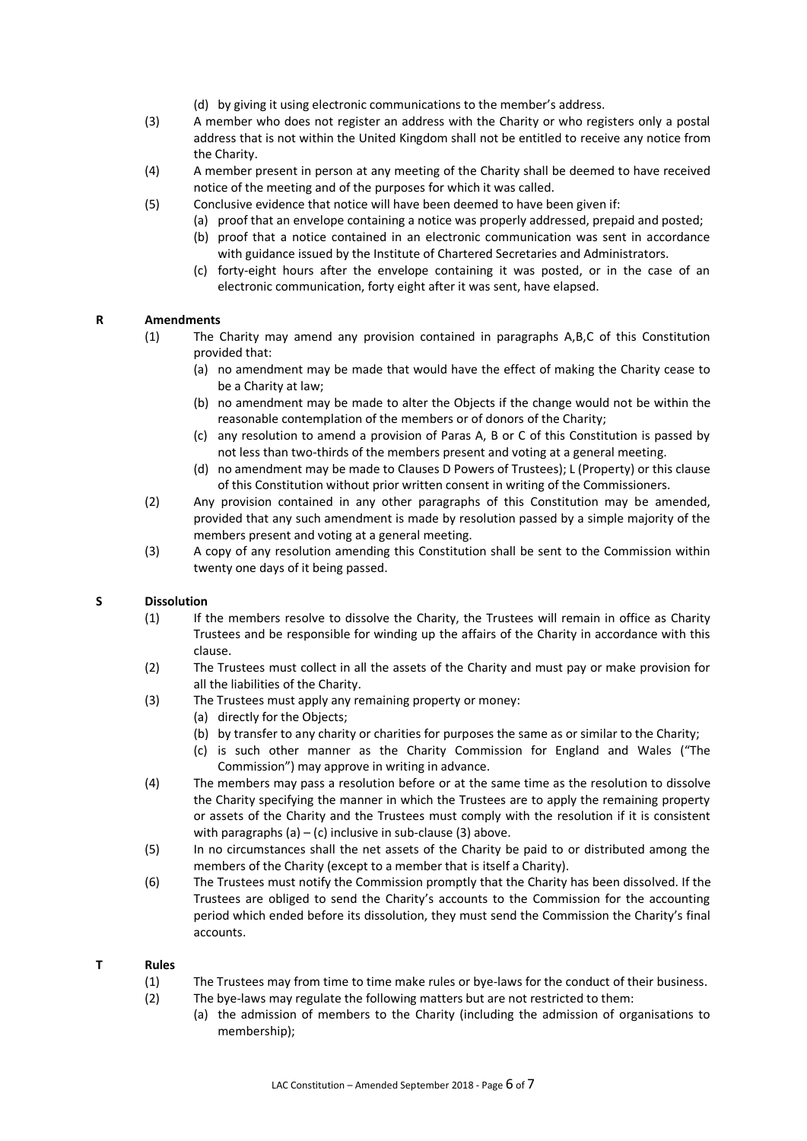- (d) by giving it using electronic communications to the member's address.
- (3) A member who does not register an address with the Charity or who registers only a postal address that is not within the United Kingdom shall not be entitled to receive any notice from the Charity.
- (4) A member present in person at any meeting of the Charity shall be deemed to have received notice of the meeting and of the purposes for which it was called.
- (5) Conclusive evidence that notice will have been deemed to have been given if:
	- (a) proof that an envelope containing a notice was properly addressed, prepaid and posted;
		- (b) proof that a notice contained in an electronic communication was sent in accordance with guidance issued by the Institute of Chartered Secretaries and Administrators.
		- (c) forty-eight hours after the envelope containing it was posted, or in the case of an electronic communication, forty eight after it was sent, have elapsed.

### **R Amendments**

- (1) The Charity may amend any provision contained in paragraphs A,B,C of this Constitution provided that:
	- (a) no amendment may be made that would have the effect of making the Charity cease to be a Charity at law;
	- (b) no amendment may be made to alter the Objects if the change would not be within the reasonable contemplation of the members or of donors of the Charity;
	- (c) any resolution to amend a provision of Paras A, B or C of this Constitution is passed by not less than two-thirds of the members present and voting at a general meeting.
	- (d) no amendment may be made to Clauses D Powers of Trustees); L (Property) or this clause of this Constitution without prior written consent in writing of the Commissioners.
- (2) Any provision contained in any other paragraphs of this Constitution may be amended, provided that any such amendment is made by resolution passed by a simple majority of the members present and voting at a general meeting.
- (3) A copy of any resolution amending this Constitution shall be sent to the Commission within twenty one days of it being passed.

### **S Dissolution**

- (1) If the members resolve to dissolve the Charity, the Trustees will remain in office as Charity Trustees and be responsible for winding up the affairs of the Charity in accordance with this clause.
- (2) The Trustees must collect in all the assets of the Charity and must pay or make provision for all the liabilities of the Charity.
- (3) The Trustees must apply any remaining property or money:
	- (a) directly for the Objects;
	- (b) by transfer to any charity or charities for purposes the same as or similar to the Charity;
	- (c) is such other manner as the Charity Commission for England and Wales ("The Commission") may approve in writing in advance.
- (4) The members may pass a resolution before or at the same time as the resolution to dissolve the Charity specifying the manner in which the Trustees are to apply the remaining property or assets of the Charity and the Trustees must comply with the resolution if it is consistent with paragraphs  $(a) - (c)$  inclusive in sub-clause  $(3)$  above.
- (5) In no circumstances shall the net assets of the Charity be paid to or distributed among the members of the Charity (except to a member that is itself a Charity).
- (6) The Trustees must notify the Commission promptly that the Charity has been dissolved. If the Trustees are obliged to send the Charity's accounts to the Commission for the accounting period which ended before its dissolution, they must send the Commission the Charity's final accounts.

#### **T Rules**

- (1) The Trustees may from time to time make rules or bye-laws for the conduct of their business.
- (2) The bye-laws may regulate the following matters but are not restricted to them:
	- (a) the admission of members to the Charity (including the admission of organisations to membership);